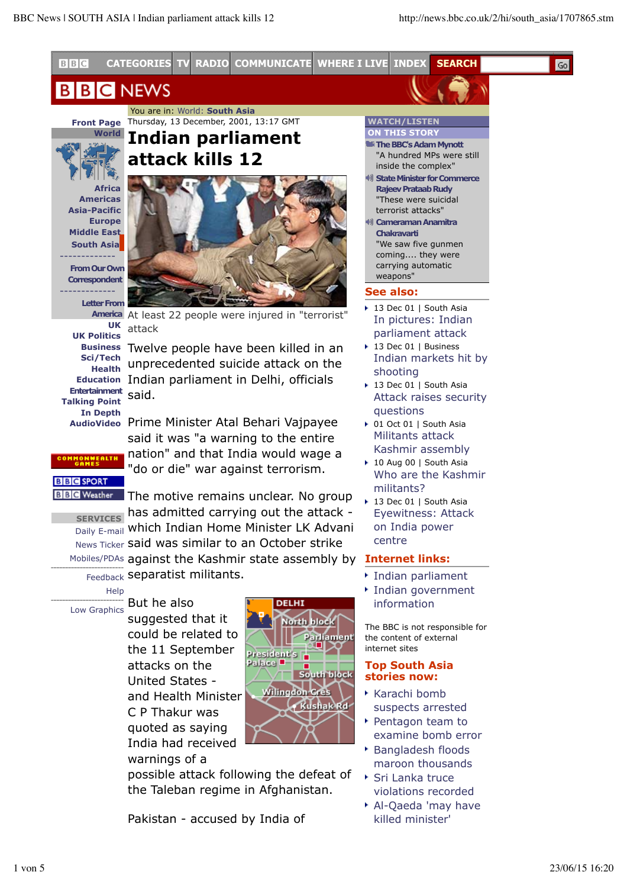Go



**Indian parliament**

#### **NEWS** BI B

 You are in: World: **South Asia Front Page** Thursday, 13 December, 2001, 13:17 GMT

**World**

**Africa Americas Asia-Pacific Europe Middle East South Asia** ------------- **From Our Own**

**Correspondent** -------------

**Letter From**

**America** At least 22 people were injured in "terrorist" attack

**UK UK Politics Sci/Tech Health Entertainment** said. **Talking Point In Depth AudioVideo** Prime Minister Atal Behari Vajpayee

**Business** Twelve people have been killed in an **Education** Indian parliament in Delhi, officials unprecedented suicide attack on the

> said it was "a warning to the entire nation" and that India would wage a "do or die" war against terrorism.

**BBC SPORT** 

**SERVICES**  has admitted carrying out the attack - <sub>Daily E-mail</sub> which Indian Home Minister LK Advani News Ticker said was similar to an October strike Mobiles/PDAs against the Kashmir state assembly by **BEC** Weather The motive remains unclear. No group

Feedback separatist militants.

**Help** Low Graphics But he also

suggested that it could be related to the 11 September attacks on the United States and Health Minister C P Thakur was quoted as saying India had received warnings of a



possible attack following the defeat of the Taleban regime in Afghanistan.

Pakistan - accused by India of

### **WATCH/LISTEN ON THIS STORY**

- **The BBC's Adam Mynott**
- "A hundred MPs were still inside the complex" **State Minister for Commerce**
- **Rajeev Prataab Rudy** "These were suicidal terrorist attacks" **Cameraman Anamitra**
- **Chakravarti** "We saw five gunmen coming.... they were carrying automatic weapons"

### **See also:**

- 13 Dec 01 | South Asia In pictures: Indian parliament attack
- ▶ 13 Dec 01 | Business Indian markets hit by shooting
- ▶ 13 Dec 01 | South Asia Attack raises security questions
- ▶ 01 Oct 01 | South Asia Militants attack Kashmir assembly
- ▶ 10 Aug 00 | South Asia Who are the Kashmir militants?
- ▶ 13 Dec 01 | South Asia Eyewitness: Attack on India power centre

# **Internet links:**

- Indian parliament
- Indian government information

The BBC is not responsible for the content of external internet sites

#### **Top South Asia stories now:**

- $\star$  Karachi bomb suspects arrested
- Pentagon team to examine bomb error
- Bangladesh floods maroon thousands
- Sri Lanka truce violations recorded
- Al-Qaeda 'may have killed minister'



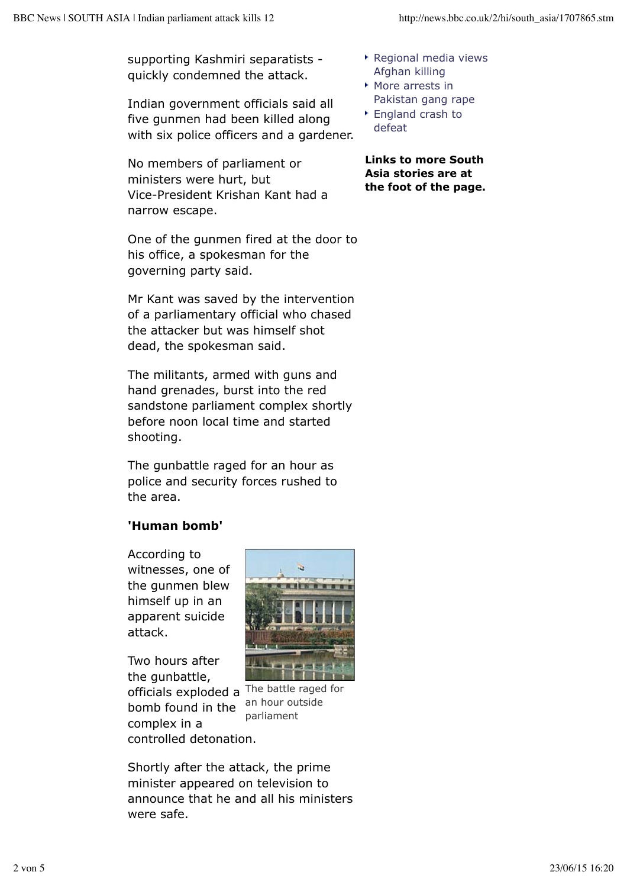supporting Kashmiri separatists quickly condemned the attack.

Indian government officials said all five gunmen had been killed along with six police officers and a gardener.

No members of parliament or ministers were hurt, but Vice-President Krishan Kant had a narrow escape.

One of the gunmen fired at the door to his office, a spokesman for the governing party said.

Mr Kant was saved by the intervention of a parliamentary official who chased the attacker but was himself shot dead, the spokesman said.

The militants, armed with guns and hand grenades, burst into the red sandstone parliament complex shortly before noon local time and started shooting.

The gunbattle raged for an hour as police and security forces rushed to the area.

# **'Human bomb'**

According to witnesses, one of the gunmen blew himself up in an apparent suicide attack.

officials exploded a <sup>The battle raged for</sup> Two hours after the gunbattle, bomb found in the complex in a controlled detonation.



an hour outside parliament

Shortly after the attack, the prime minister appeared on television to announce that he and all his ministers were safe.

- Regional media views Afghan killing
- More arrests in Pakistan gang rape
- ▶ England crash to defeat

**Links to more South Asia stories are at the foot of the page.**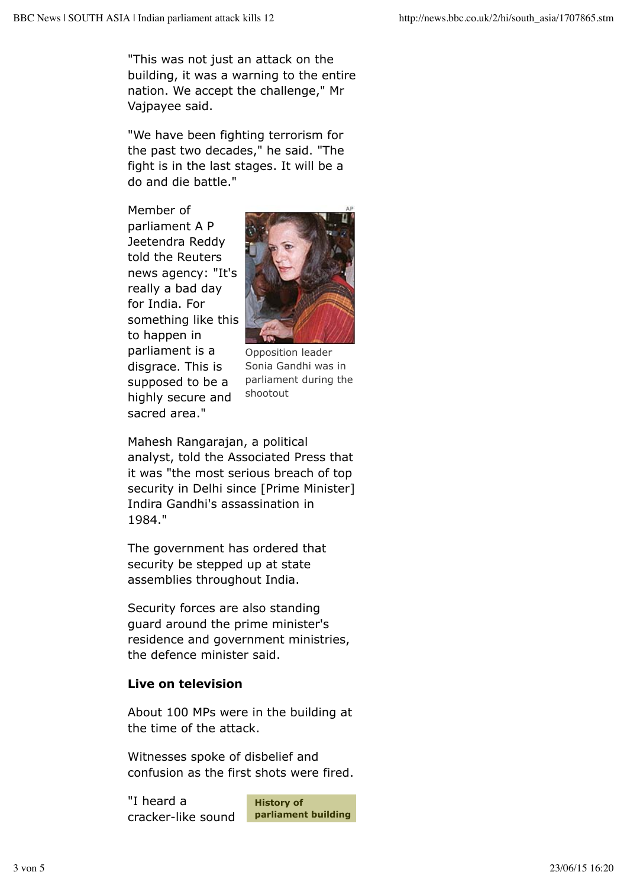"This was not just an attack on the building, it was a warning to the entire nation. We accept the challenge," Mr Vajpayee said.

"We have been fighting terrorism for the past two decades," he said. "The fight is in the last stages. It will be a do and die battle."

Member of parliament A P Jeetendra Reddy told the Reuters news agency: "It's really a bad day for India. For something like this to happen in parliament is a disgrace. This is supposed to be a highly secure and sacred area."



Opposition leader Sonia Gandhi was in parliament during the shootout

Mahesh Rangarajan, a political analyst, told the Associated Press that it was "the most serious breach of top security in Delhi since [Prime Minister] Indira Gandhi's assassination in 1984."

The government has ordered that security be stepped up at state assemblies throughout India.

Security forces are also standing guard around the prime minister's residence and government ministries, the defence minister said.

# **Live on television**

About 100 MPs were in the building at the time of the attack.

Witnesses spoke of disbelief and confusion as the first shots were fired.

"I heard a cracker-like sound

**History of parliament building**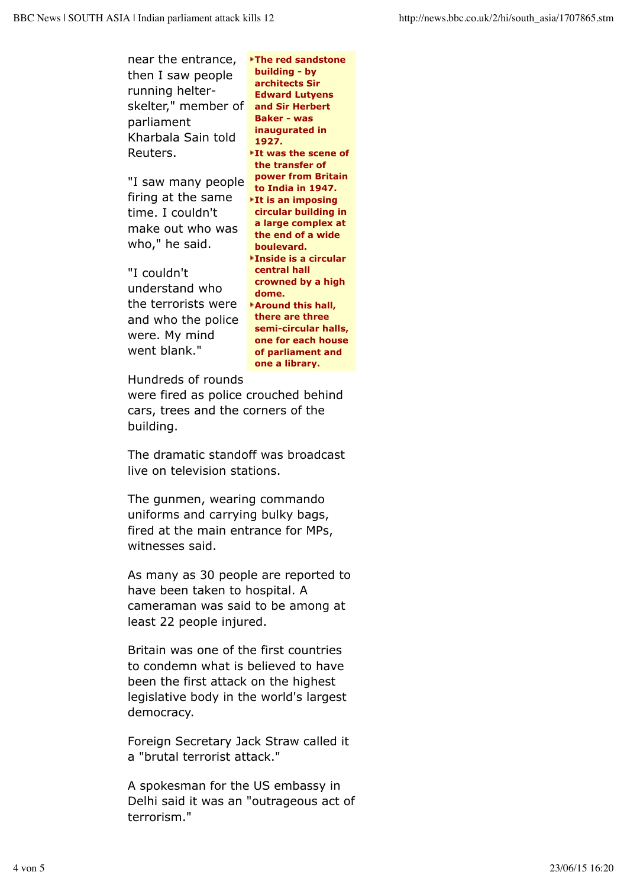| near the entrance,<br>then I saw people<br>running helter-<br>skelter," member of<br>parliament<br>Kharbala Sain told<br>Reuters.   | <b>*The red sandstone</b><br>building - by<br>architects Sir<br><b>Edward Lutyens</b><br>and Sir Herbert<br><b>Baker - was</b><br>inaugurated in<br>1927.<br>It was the scene of<br>the transfer of                       |
|-------------------------------------------------------------------------------------------------------------------------------------|---------------------------------------------------------------------------------------------------------------------------------------------------------------------------------------------------------------------------|
| "I saw many people<br>firing at the same<br>time. I couldn't<br>make out who was<br>who," he said.<br>"I couldn't<br>understand who | power from Britain<br>to India in 1947.<br><b>It is an imposing</b><br>circular building in<br>a large complex at<br>the end of a wide<br>boulevard.<br><b>▶Inside is a circular</b><br>central hall<br>crowned by a high |
| the terrorists were<br>and who the police<br>were. My mind<br>went blank."                                                          | dome.<br>Around this hall,<br>there are three<br>semi-circular halls,<br>one for each house<br>of parliament and<br>one a library.                                                                                        |
| Hundreds of rounds<br>were fired as police crouched behind<br>cars, trees and the corners of the                                    |                                                                                                                                                                                                                           |

building. The dramatic standoff was broadcast

live on television stations.

The gunmen, wearing commando uniforms and carrying bulky bags, fired at the main entrance for MPs, witnesses said.

As many as 30 people are reported to have been taken to hospital. A cameraman was said to be among at least 22 people injured.

Britain was one of the first countries to condemn what is believed to have been the first attack on the highest legislative body in the world's largest democracy.

Foreign Secretary Jack Straw called it a "brutal terrorist attack."

A spokesman for the US embassy in Delhi said it was an "outrageous act of terrorism."